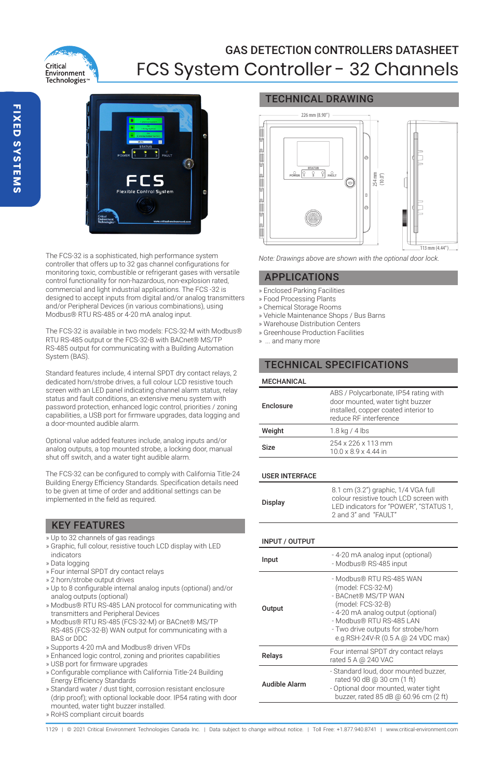

# GAS DETECTION CONTROLLERS DATASHEET FCS System Controller - 32 Channels



The FCS-32 is a sophisticated, high performance system controller that offers up to 32 gas channel configurations for monitoring toxic, combustible or refrigerant gases with versatile control functionality for non-hazardous, non-explosion rated, commercial and light industrial applications. The FCS -32 is designed to accept inputs from digital and/or analog transmitters and/or Peripheral Devices (in various combinations), using Modbus® RTU RS-485 or 4-20 mA analog input.

The FCS-32 is available in two models: FCS-32-M with Modbus® RTU RS-485 output or the FCS-32-B with BACnet® MS/TP RS-485 output for communicating with a Building Automation System (BAS).

Standard features include, 4 internal SPDT dry contact relays, 2 dedicated horn/strobe drives, a full colour LCD resistive touch screen with an LED panel indicating channel alarm status, relay status and fault conditions, an extensive menu system with password protection, enhanced logic control, priorities / zoning capabilities, a USB port for firmware upgrades, data logging and a door-mounted audible alarm.

Optional value added features include, analog inputs and/or analog outputs, a top mounted strobe, a locking door, manual shut off switch, and a water tight audible alarm.

The FCS-32 can be configured to comply with California Title-24 Building Energy Efficiency Standards. Specification details need to be given at time of order and additional settings can be implemented in the field as required.

### KEY FEATURES

- » Up to 32 channels of gas readings
- » Graphic, full colour, resistive touch LCD display with LED indicators
- » Data logging
- » Four internal SPDT dry contact relays
- » 2 horn/strobe output drives
- » Up to 8 configurable internal analog inputs (optional) and/or analog outputs (optional)
- » Modbus® RTU RS-485 LAN protocol for communicating with transmitters and Peripheral Devices
- » Modbus® RTU RS-485 (FCS-32-M) or BACnet® MS/TP RS-485 (FCS-32-B) WAN output for communicating with a BAS or DDC
- » Supports 4-20 mA and Modbus® driven VFDs
- » Enhanced logic control, zoning and priorites capabilities
- » USB port for firmware upgrades
- » Configurable compliance with California Title-24 Building Energy Efficiency Standards
- » Standard water / dust tight, corrosion resistant enclosure (drip proof); with optional lockable door. IP54 rating with door mounted, water tight buzzer installed. » RoHS compliant circuit boards

# TECHNICAL DRAWING



*Note: Drawings above are shown with the optional door lock.*

### APPLICATIONS

- » Enclosed Parking Facilities
- » Food Processing Plants
- » Chemical Storage Rooms
- » Vehicle Maintenance Shops / Bus Barns
- » Warehouse Distribution Centers
- » Greenhouse Production Facilities
- » ... and many more

## TECHNICAL SPECIFICATIONS

### **MECHANICAL**

| Enclosure | ABS / Polycarbonate, IP54 rating with<br>door mounted, water tight buzzer<br>installed, copper coated interior to<br>reduce RF interference |
|-----------|---------------------------------------------------------------------------------------------------------------------------------------------|
| Weight    | $1.8$ kg / 4 lbs                                                                                                                            |
| Size      | 254 x 226 x 113 mm<br>10.0 x 8.9 x 4.44 in                                                                                                  |

### USER INTERFACE

| Display | 8.1 cm (3.2") graphic, 1/4 VGA full<br>colour resistive touch LCD screen with<br>LED indicators for "POWER". "STATUS 1.<br>2 and 3" and "FAULT" |
|---------|-------------------------------------------------------------------------------------------------------------------------------------------------|
|---------|-------------------------------------------------------------------------------------------------------------------------------------------------|

### INPUT / OUTPUT

| Input         | -4-20 mA analog input (optional)<br>- Modbus® RS-485 input                                                                                                                                                                               |
|---------------|------------------------------------------------------------------------------------------------------------------------------------------------------------------------------------------------------------------------------------------|
| Output        | - Modbus® RTU RS-485 WAN<br>(model: FCS-32-M)<br>- BACnet® MS/TP WAN<br>(model: FCS-32-B)<br>- 4-20 mA analog output (optional)<br>- Modbus® RTU RS-485 LAN<br>- Two drive outputs for strobe/horn<br>e.g.RSH-24V-R (0.5 A @ 24 VDC max) |
| Relays        | Four internal SPDT dry contact relays<br>rated 5 A @ 240 VAC                                                                                                                                                                             |
| Audible Alarm | - Standard loud, door mounted buzzer.<br>rated 90 dB @ 30 cm (1 ft)<br>- Optional door mounted, water tight<br>buzzer, rated 85 dB @ 60.96 cm (2 ft)                                                                                     |

1129 | © 2021 Critical Environment Technologies Canada Inc. | Data subject to change without notice. | Toll Free: +1.877.940.8741 | www.critical-environment.com